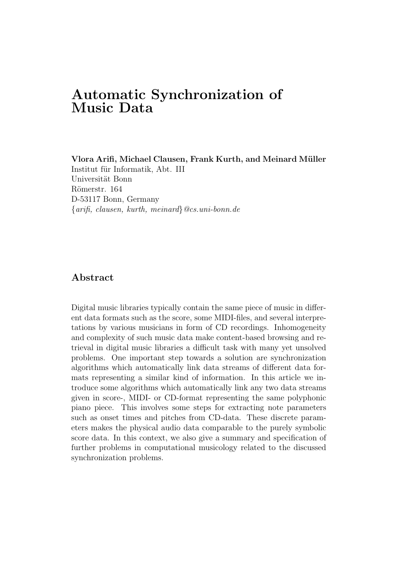# Automatic Synchronization of Music Data

Vlora Arifi, Michael Clausen, Frank Kurth, and Meinard Müller Institut für Informatik, Abt. III Universit¨at Bonn Römerstr. 164 D-53117 Bonn, Germany {arifi, clausen, kurth, meinard}@cs.uni-bonn.de

#### Abstract

Digital music libraries typically contain the same piece of music in different data formats such as the score, some MIDI-files, and several interpretations by various musicians in form of CD recordings. Inhomogeneity and complexity of such music data make content-based browsing and retrieval in digital music libraries a difficult task with many yet unsolved problems. One important step towards a solution are synchronization algorithms which automatically link data streams of different data formats representing a similar kind of information. In this article we introduce some algorithms which automatically link any two data streams given in score-, MIDI- or CD-format representing the same polyphonic piano piece. This involves some steps for extracting note parameters such as onset times and pitches from CD-data. These discrete parameters makes the physical audio data comparable to the purely symbolic score data. In this context, we also give a summary and specification of further problems in computational musicology related to the discussed synchronization problems.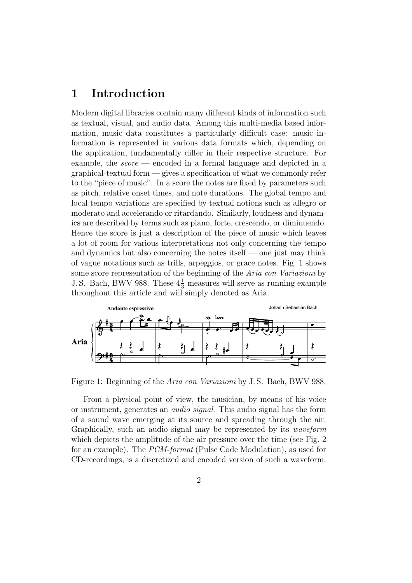# 1 Introduction

Modern digital libraries contain many different kinds of information such as textual, visual, and audio data. Among this multi-media based information, music data constitutes a particularly difficult case: music information is represented in various data formats which, depending on the application, fundamentally differ in their respective structure. For example, the *score*  $-$  encoded in a formal language and depicted in a graphical-textual form — gives a specification of what we commonly refer to the "piece of music". In a score the notes are fixed by parameters such as pitch, relative onset times, and note durations. The global tempo and local tempo variations are specified by textual notions such as allegro or moderato and accelerando or ritardando. Similarly, loudness and dynamics are described by terms such as piano, forte, crescendo, or diminuendo. Hence the score is just a description of the piece of music which leaves a lot of room for various interpretations not only concerning the tempo and dynamics but also concerning the notes itself — one just may think of vague notations such as trills, arpeggios, or grace notes. Fig. 1 shows some score representation of the beginning of the Aria con Variazioni by J. S. Bach, BWV 988. These  $4\frac{1}{3}$  measures will serve as running example throughout this article and will simply denoted as Aria.



Figure 1: Beginning of the Aria con Variazioni by J. S. Bach, BWV 988.

From a physical point of view, the musician, by means of his voice or instrument, generates an audio signal. This audio signal has the form of a sound wave emerging at its source and spreading through the air. Graphically, such an audio signal may be represented by its waveform which depicts the amplitude of the air pressure over the time (see Fig. 2) for an example). The PCM-format (Pulse Code Modulation), as used for CD-recordings, is a discretized and encoded version of such a waveform.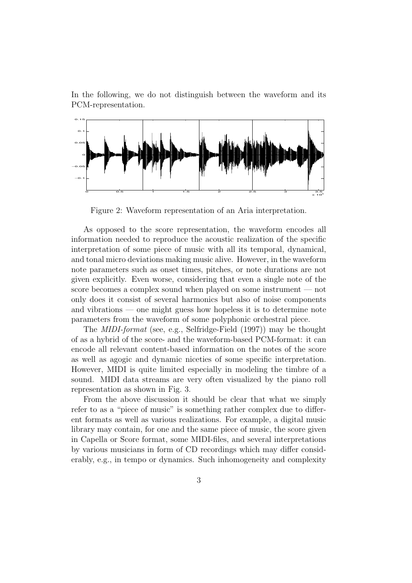In the following, we do not distinguish between the waveform and its PCM-representation.



Figure 2: Waveform representation of an Aria interpretation.

As opposed to the score representation, the waveform encodes all information needed to reproduce the acoustic realization of the specific interpretation of some piece of music with all its temporal, dynamical, and tonal micro deviations making music alive. However, in the waveform note parameters such as onset times, pitches, or note durations are not given explicitly. Even worse, considering that even a single note of the score becomes a complex sound when played on some instrument — not only does it consist of several harmonics but also of noise components and vibrations — one might guess how hopeless it is to determine note parameters from the waveform of some polyphonic orchestral piece.

The MIDI-format (see, e.g., Selfridge-Field (1997)) may be thought of as a hybrid of the score- and the waveform-based PCM-format: it can encode all relevant content-based information on the notes of the score as well as agogic and dynamic niceties of some specific interpretation. However, MIDI is quite limited especially in modeling the timbre of a sound. MIDI data streams are very often visualized by the piano roll representation as shown in Fig. 3.

From the above discussion it should be clear that what we simply refer to as a "piece of music" is something rather complex due to different formats as well as various realizations. For example, a digital music library may contain, for one and the same piece of music, the score given in Capella or Score format, some MIDI-files, and several interpretations by various musicians in form of CD recordings which may differ considerably, e.g., in tempo or dynamics. Such inhomogeneity and complexity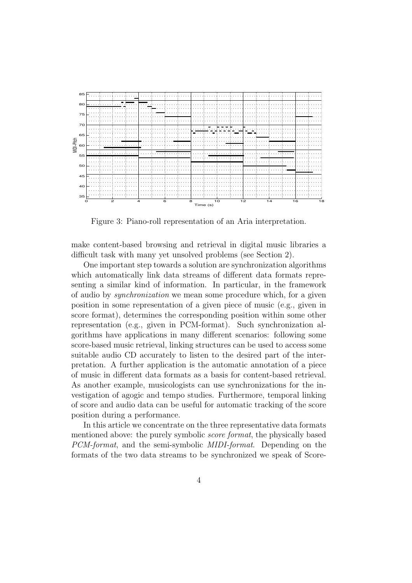

Figure 3: Piano-roll representation of an Aria interpretation.

make content-based browsing and retrieval in digital music libraries a difficult task with many yet unsolved problems (see Section 2).

One important step towards a solution are synchronization algorithms which automatically link data streams of different data formats representing a similar kind of information. In particular, in the framework of audio by synchronization we mean some procedure which, for a given position in some representation of a given piece of music (e.g., given in score format), determines the corresponding position within some other representation (e.g., given in PCM-format). Such synchronization algorithms have applications in many different scenarios: following some score-based music retrieval, linking structures can be used to access some suitable audio CD accurately to listen to the desired part of the interpretation. A further application is the automatic annotation of a piece of music in different data formats as a basis for content-based retrieval. As another example, musicologists can use synchronizations for the investigation of agogic and tempo studies. Furthermore, temporal linking of score and audio data can be useful for automatic tracking of the score position during a performance.

In this article we concentrate on the three representative data formats mentioned above: the purely symbolic score format, the physically based PCM-format, and the semi-symbolic MIDI-format. Depending on the formats of the two data streams to be synchronized we speak of Score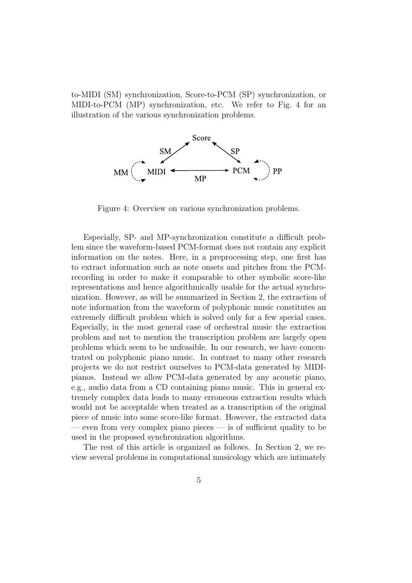to-MIDI (SM) synchronization, Score-to-PCM (SP) synchronization, or MIDI-to-PCM (MP) synchronization, etc. We refer to Fig. 4 for an illustration of the various synchronization problems.



Figure 4: Overview on various synchronization problems.

Especially, SP- and MP-synchronization constitute a difficult problem since the waveform-based PCM-format does not contain any explicit information on the notes. Here, in a preprocessing step, one first has to extract information such as note onsets and pitches from the PCMrecording in order to make it comparable to other symbolic score-like representations and hence algorithmically usable for the actual synchronization. However, as will be summarized in Section 2, the extraction of note information from the waveform of polyphonic music constitutes an extremely difficult problem which is solved only for a few special cases. Especially, in the most general case of orchestral music the extraction problem and not to mention the transcription problem are largely open problems which seem to be unfeasible. In our research, we have concentrated on polyphonic piano music. In contrast to many other research projects we do not restrict ourselves to PCM-data generated by MIDIpianos. Instead we allow PCM-data generated by any acoustic piano, e.g., audio data from a CD containing piano music. This in general extremely complex data leads to many erroneous extraction results which would not be acceptable when treated as a transcription of the original piece of music into some score-like format. However, the extracted data — even from very complex piano pieces — is of sufficient quality to be used in the proposed synchronization algorithms.

The rest of this article is organized as follows. In Section 2, we review several problems in computational musicology which are intimately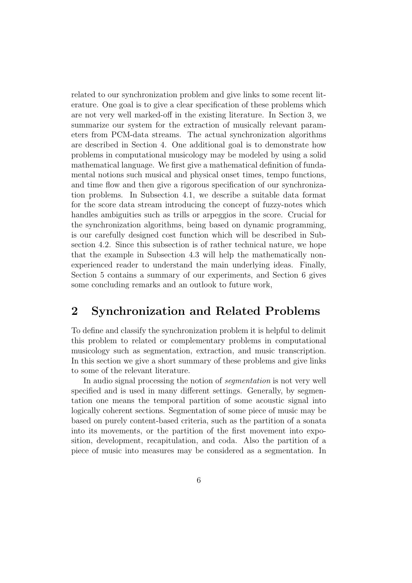related to our synchronization problem and give links to some recent literature. One goal is to give a clear specification of these problems which are not very well marked-off in the existing literature. In Section 3, we summarize our system for the extraction of musically relevant parameters from PCM-data streams. The actual synchronization algorithms are described in Section 4. One additional goal is to demonstrate how problems in computational musicology may be modeled by using a solid mathematical language. We first give a mathematical definition of fundamental notions such musical and physical onset times, tempo functions, and time flow and then give a rigorous specification of our synchronization problems. In Subsection 4.1, we describe a suitable data format for the score data stream introducing the concept of fuzzy-notes which handles ambiguities such as trills or arpeggios in the score. Crucial for the synchronization algorithms, being based on dynamic programming, is our carefully designed cost function which will be described in Subsection 4.2. Since this subsection is of rather technical nature, we hope that the example in Subsection 4.3 will help the mathematically nonexperienced reader to understand the main underlying ideas. Finally, Section 5 contains a summary of our experiments, and Section 6 gives some concluding remarks and an outlook to future work,

## 2 Synchronization and Related Problems

To define and classify the synchronization problem it is helpful to delimit this problem to related or complementary problems in computational musicology such as segmentation, extraction, and music transcription. In this section we give a short summary of these problems and give links to some of the relevant literature.

In audio signal processing the notion of *segmentation* is not very well specified and is used in many different settings. Generally, by segmentation one means the temporal partition of some acoustic signal into logically coherent sections. Segmentation of some piece of music may be based on purely content-based criteria, such as the partition of a sonata into its movements, or the partition of the first movement into exposition, development, recapitulation, and coda. Also the partition of a piece of music into measures may be considered as a segmentation. In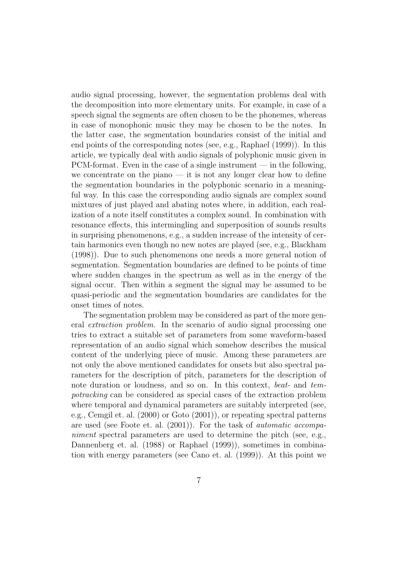audio signal processing, however, the segmentation problems deal with the decomposition into more elementary units. For example, in case of a speech signal the segments are often chosen to be the phonemes, whereas in case of monophonic music they may be chosen to be the notes. In the latter case, the segmentation boundaries consist of the initial and end points of the corresponding notes (see, e.g., Raphael (1999)). In this article, we typically deal with audio signals of polyphonic music given in PCM-format. Even in the case of a single instrument — in the following, we concentrate on the piano  $-$  it is not any longer clear how to define the segmentation boundaries in the polyphonic scenario in a meaningful way. In this case the corresponding audio signals are complex sound mixtures of just played and abating notes where, in addition, each realization of a note itself constitutes a complex sound. In combination with resonance effects, this intermingling and superposition of sounds results in surprising phenomenons, e.g., a sudden increase of the intensity of certain harmonics even though no new notes are played (see, e.g., Blackham (1998)). Due to such phenomenons one needs a more general notion of segmentation. Segmentation boundaries are defined to be points of time where sudden changes in the spectrum as well as in the energy of the signal occur. Then within a segment the signal may be assumed to be quasi-periodic and the segmentation boundaries are candidates for the onset times of notes.

The segmentation problem may be considered as part of the more general extraction problem. In the scenario of audio signal processing one tries to extract a suitable set of parameters from some waveform-based representation of an audio signal which somehow describes the musical content of the underlying piece of music. Among these parameters are not only the above mentioned candidates for onsets but also spectral parameters for the description of pitch, parameters for the description of note duration or loudness, and so on. In this context, *beat*- and *tem*potracking can be considered as special cases of the extraction problem where temporal and dynamical parameters are suitably interpreted (see, e.g., Cemgil et. al. (2000) or Goto (2001)), or repeating spectral patterns are used (see Foote et. al. (2001)). For the task of automatic accompaniment spectral parameters are used to determine the pitch (see, e.g., Dannenberg et. al. (1988) or Raphael (1999)), sometimes in combination with energy parameters (see Cano et. al. (1999)). At this point we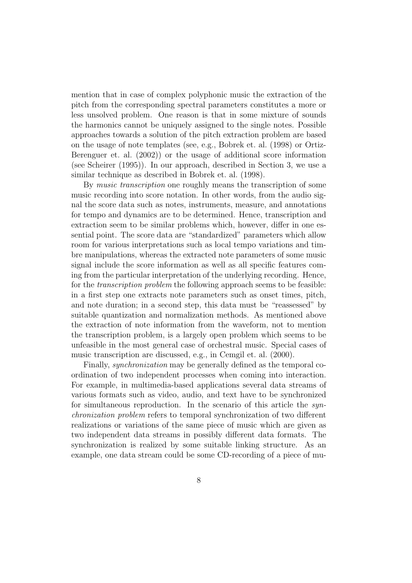mention that in case of complex polyphonic music the extraction of the pitch from the corresponding spectral parameters constitutes a more or less unsolved problem. One reason is that in some mixture of sounds the harmonics cannot be uniquely assigned to the single notes. Possible approaches towards a solution of the pitch extraction problem are based on the usage of note templates (see, e.g., Bobrek et. al. (1998) or Ortiz-Berenguer et. al. (2002)) or the usage of additional score information (see Scheirer (1995)). In our approach, described in Section 3, we use a similar technique as described in Bobrek et. al. (1998).

By *music transcription* one roughly means the transcription of some music recording into score notation. In other words, from the audio signal the score data such as notes, instruments, measure, and annotations for tempo and dynamics are to be determined. Hence, transcription and extraction seem to be similar problems which, however, differ in one essential point. The score data are "standardized" parameters which allow room for various interpretations such as local tempo variations and timbre manipulations, whereas the extracted note parameters of some music signal include the score information as well as all specific features coming from the particular interpretation of the underlying recording. Hence, for the transcription problem the following approach seems to be feasible: in a first step one extracts note parameters such as onset times, pitch, and note duration; in a second step, this data must be "reassessed" by suitable quantization and normalization methods. As mentioned above the extraction of note information from the waveform, not to mention the transcription problem, is a largely open problem which seems to be unfeasible in the most general case of orchestral music. Special cases of music transcription are discussed, e.g., in Cemgil et. al. (2000).

Finally, *synchronization* may be generally defined as the temporal coordination of two independent processes when coming into interaction. For example, in multimedia-based applications several data streams of various formats such as video, audio, and text have to be synchronized for simultaneous reproduction. In the scenario of this article the synchronization problem refers to temporal synchronization of two different realizations or variations of the same piece of music which are given as two independent data streams in possibly different data formats. The synchronization is realized by some suitable linking structure. As an example, one data stream could be some CD-recording of a piece of mu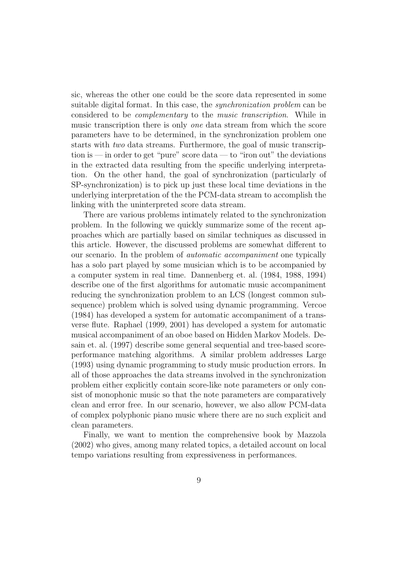sic, whereas the other one could be the score data represented in some suitable digital format. In this case, the synchronization problem can be considered to be complementary to the music transcription. While in music transcription there is only one data stream from which the score parameters have to be determined, in the synchronization problem one starts with two data streams. Furthermore, the goal of music transcription is — in order to get "pure" score data — to "iron out" the deviations in the extracted data resulting from the specific underlying interpretation. On the other hand, the goal of synchronization (particularly of SP-synchronization) is to pick up just these local time deviations in the underlying interpretation of the the PCM-data stream to accomplish the linking with the uninterpreted score data stream.

There are various problems intimately related to the synchronization problem. In the following we quickly summarize some of the recent approaches which are partially based on similar techniques as discussed in this article. However, the discussed problems are somewhat different to our scenario. In the problem of automatic accompaniment one typically has a solo part played by some musician which is to be accompanied by a computer system in real time. Dannenberg et. al. (1984, 1988, 1994) describe one of the first algorithms for automatic music accompaniment reducing the synchronization problem to an LCS (longest common subsequence) problem which is solved using dynamic programming. Vercoe (1984) has developed a system for automatic accompaniment of a transverse flute. Raphael (1999, 2001) has developed a system for automatic musical accompaniment of an oboe based on Hidden Markov Models. Desain et. al. (1997) describe some general sequential and tree-based scoreperformance matching algorithms. A similar problem addresses Large (1993) using dynamic programming to study music production errors. In all of those approaches the data streams involved in the synchronization problem either explicitly contain score-like note parameters or only consist of monophonic music so that the note parameters are comparatively clean and error free. In our scenario, however, we also allow PCM-data of complex polyphonic piano music where there are no such explicit and clean parameters.

Finally, we want to mention the comprehensive book by Mazzola (2002) who gives, among many related topics, a detailed account on local tempo variations resulting from expressiveness in performances.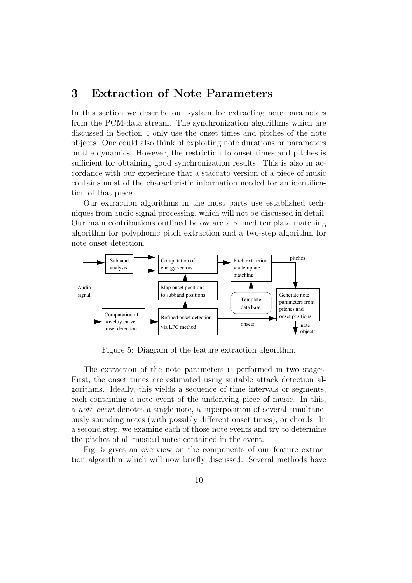### 3 Extraction of Note Parameters

In this section we describe our system for extracting note parameters from the PCM-data stream. The synchronization algorithms which are discussed in Section 4 only use the onset times and pitches of the note objects. One could also think of exploiting note durations or parameters on the dynamics. However, the restriction to onset times and pitches is sufficient for obtaining good synchronization results. This is also in accordance with our experience that a staccato version of a piece of music contains most of the characteristic information needed for an identification of that piece.

Our extraction algorithms in the most parts use established techniques from audio signal processing, which will not be discussed in detail. Our main contributions outlined below are a refined template matching algorithm for polyphonic pitch extraction and a two-step algorithm for note onset detection.



Figure 5: Diagram of the feature extraction algorithm.

The extraction of the note parameters is performed in two stages. First, the onset times are estimated using suitable attack detection algorithms. Ideally, this yields a sequence of time intervals or segments, each containing a note event of the underlying piece of music. In this, a note event denotes a single note, a superposition of several simultaneously sounding notes (with possibly different onset times), or chords. In a second step, we examine each of those note events and try to determine the pitches of all musical notes contained in the event.

Fig. 5 gives an overview on the components of our feature extraction algorithm which will now briefly discussed. Several methods have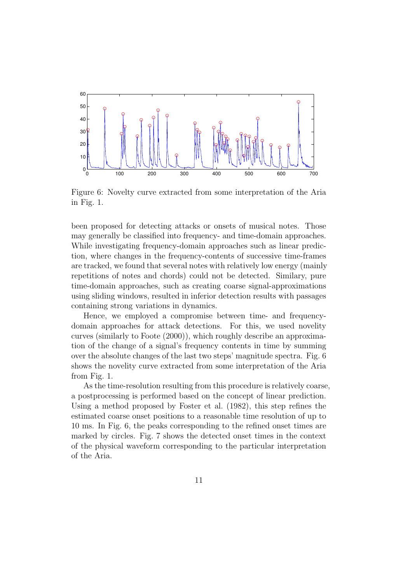

Figure 6: Novelty curve extracted from some interpretation of the Aria in Fig. 1.

been proposed for detecting attacks or onsets of musical notes. Those may generally be classified into frequency- and time-domain approaches. While investigating frequency-domain approaches such as linear prediction, where changes in the frequency-contents of successive time-frames are tracked, we found that several notes with relatively low energy (mainly repetitions of notes and chords) could not be detected. Similary, pure time-domain approaches, such as creating coarse signal-approximations using sliding windows, resulted in inferior detection results with passages containing strong variations in dynamics.

Hence, we employed a compromise between time- and frequencydomain approaches for attack detections. For this, we used novelity curves (similarly to Foote (2000)), which roughly describe an approximation of the change of a signal's frequency contents in time by summing over the absolute changes of the last two steps' magnitude spectra. Fig. 6 shows the novelity curve extracted from some interpretation of the Aria from Fig. 1.

As the time-resolution resulting from this procedure is relatively coarse, a postprocessing is performed based on the concept of linear prediction. Using a method proposed by Foster et al. (1982), this step refines the estimated coarse onset positions to a reasonable time resolution of up to 10 ms. In Fig. 6, the peaks corresponding to the refined onset times are marked by circles. Fig. 7 shows the detected onset times in the context of the physical waveform corresponding to the particular interpretation of the Aria.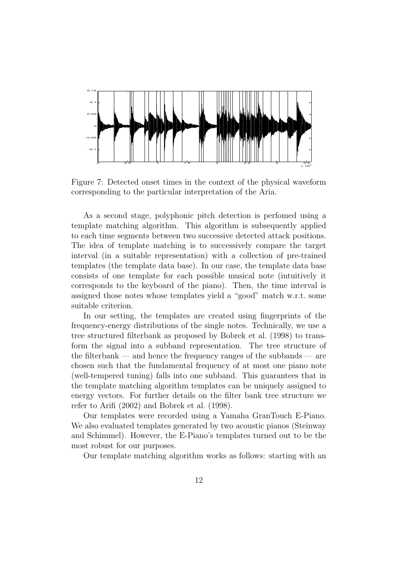

Figure 7: Detected onset times in the context of the physical waveform corresponding to the particular interpretation of the Aria.

As a second stage, polyphonic pitch detection is perfomed using a template matching algorithm. This algorithm is subsequently applied to each time segments between two successive detected attack positions. The idea of template matching is to successively compare the target interval (in a suitable representation) with a collection of pre-trained templates (the template data base). In our case, the template data base consists of one template for each possible musical note (intuitively it corresponds to the keyboard of the piano). Then, the time interval is assigned those notes whose templates yield a "good" match w.r.t. some suitable criterion.

In our setting, the templates are created using fingerprints of the frequency-energy distributions of the single notes. Technically, we use a tree structured filterbank as proposed by Bobrek et al. (1998) to transform the signal into a subband representation. The tree structure of the filterbank — and hence the frequency ranges of the subbands — are chosen such that the fundamental frequency of at most one piano note (well-tempered tuning) falls into one subband. This guarantees that in the template matching algorithm templates can be uniquely assigned to energy vectors. For further details on the filter bank tree structure we refer to Arifi (2002) and Bobrek et al. (1998).

Our templates were recorded using a Yamaha GranTouch E-Piano. We also evaluated templates generated by two acoustic pianos (Steinway and Schimmel). However, the E-Piano's templates turned out to be the most robust for our purposes.

Our template matching algorithm works as follows: starting with an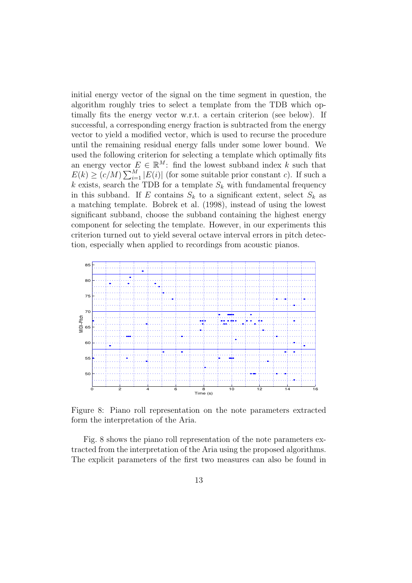initial energy vector of the signal on the time segment in question, the algorithm roughly tries to select a template from the TDB which optimally fits the energy vector w.r.t. a certain criterion (see below). If successful, a corresponding energy fraction is subtracted from the energy vector to yield a modified vector, which is used to recurse the procedure until the remaining residual energy falls under some lower bound. We used the following criterion for selecting a template which optimally fits an energy vector  $E \in \mathbb{R}^M$ : find the lowest subband index k such that  $E(k) \ge (c/M) \sum_{i=1}^{M} |E(i)|$  (for some suitable prior constant c). If such a k exists, search the TDB for a template  $S_k$  with fundamental frequency in this subband. If E contains  $S_k$  to a significant extent, select  $S_k$  as a matching template. Bobrek et al. (1998), instead of using the lowest significant subband, choose the subband containing the highest energy component for selecting the template. However, in our experiments this criterion turned out to yield several octave interval errors in pitch detection, especially when applied to recordings from acoustic pianos.



Figure 8: Piano roll representation on the note parameters extracted form the interpretation of the Aria.

Fig. 8 shows the piano roll representation of the note parameters extracted from the interpretation of the Aria using the proposed algorithms. The explicit parameters of the first two measures can also be found in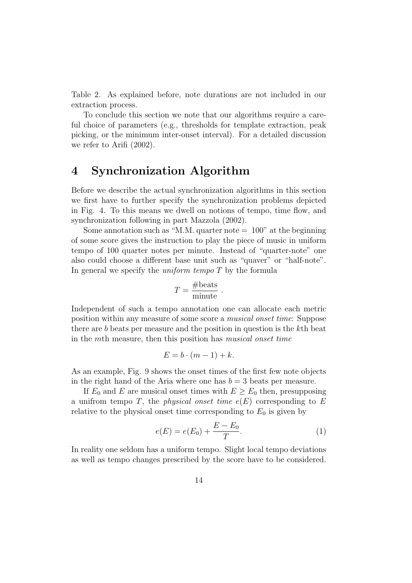Table 2. As explained before, note durations are not included in our extraction process.

To conclude this section we note that our algorithms require a careful choice of parameters (e.g., thresholds for template extraction, peak picking, or the minimum inter-onset interval). For a detailed discussion we refer to Arifi (2002).

# 4 Synchronization Algorithm

Before we describe the actual synchronization algorithms in this section we first have to further specify the synchronization problems depicted in Fig. 4. To this means we dwell on notions of tempo, time flow, and synchronization following in part Mazzola (2002).

Some annotation such as "M.M. quarter note  $= 100$ " at the beginning of some score gives the instruction to play the piece of music in uniform tempo of 100 quarter notes per minute. Instead of "quarter-note" one also could choose a different base unit such as "quaver" or "half-note". In general we specify the *uniform tempo*  $T$  by the formula

$$
T = \frac{\text{\#beats}}{\text{minute}}.
$$

Independent of such a tempo annotation one can allocate each metric position within any measure of some score a musical onset time: Suppose there are b beats per measure and the position in question is the kth beat in the mth measure, then this position has musical onset time

$$
E = b \cdot (m - 1) + k.
$$

As an example, Fig. 9 shows the onset times of the first few note objects in the right hand of the Aria where one has  $b = 3$  beats per measure.

If  $E_0$  and E are musical onset times with  $E \ge E_0$  then, presupposing a unifrom tempo T, the *physical onset time*  $e(E)$  corresponding to E relative to the physical onset time corresponding to  $E_0$  is given by

$$
e(E) = e(E_0) + \frac{E - E_0}{T}.
$$
\n(1)

In reality one seldom has a uniform tempo. Slight local tempo deviations as well as tempo changes prescribed by the score have to be considered.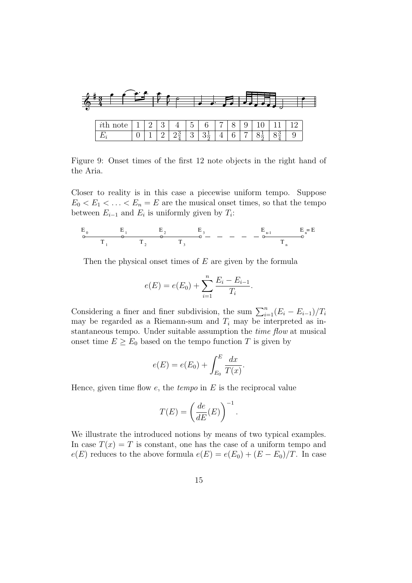

Figure 9: Onset times of the first 12 note objects in the right hand of the Aria.

Closer to reality is in this case a piecewise uniform tempo. Suppose  $E_0 < E_1 < \ldots < E_n = E$  are the musical onset times, so that the tempo between  $E_{i-1}$  and  $E_i$  is uniformly given by  $T_i$ :

3 T T <sup>1</sup> T 2 0 E E <sup>1</sup> E 2 E 3 T n E n-1 E = E <sup>n</sup>

Then the physical onset times of E are given by the formula

$$
e(E) = e(E_0) + \sum_{i=1}^{n} \frac{E_i - E_{i-1}}{T_i}.
$$

Considering a finer and finer subdivision, the sum  $\sum_{i=1}^{n} (E_i - E_{i-1})/T_i$ may be regarded as a Riemann-sum and  $T_i$  may be interpreted as instantaneous tempo. Under suitable assumption the *time flow* at musical onset time  $E \ge E_0$  based on the tempo function T is given by

$$
e(E) = e(E_0) + \int_{E_0}^{E} \frac{dx}{T(x)}.
$$

Hence, given time flow  $e$ , the  $tempo$  in  $E$  is the reciprocal value

$$
T(E) = \left(\frac{de}{dE}(E)\right)^{-1}.
$$

We illustrate the introduced notions by means of two typical examples. In case  $T(x) = T$  is constant, one has the case of a uniform tempo and  $e(E)$  reduces to the above formula  $e(E) = e(E_0) + (E - E_0)/T$ . In case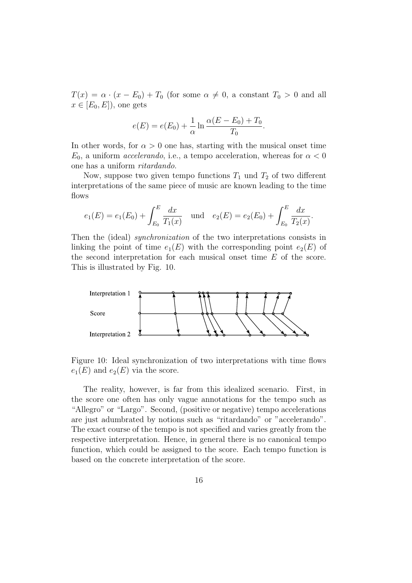$T(x) = \alpha \cdot (x - E_0) + T_0$  (for some  $\alpha \neq 0$ , a constant  $T_0 > 0$  and all  $x \in [E_0, E]$ , one gets

$$
e(E) = e(E_0) + \frac{1}{\alpha} \ln \frac{\alpha (E - E_0) + T_0}{T_0}.
$$

In other words, for  $\alpha > 0$  one has, starting with the musical onset time  $E_0$ , a uniform *accelerando*, i.e., a tempo acceleration, whereas for  $\alpha < 0$ one has a uniform ritardando.

Now, suppose two given tempo functions  $T_1$  und  $T_2$  of two different interpretations of the same piece of music are known leading to the time flows

$$
e_1(E) = e_1(E_0) + \int_{E_0}^{E} \frac{dx}{T_1(x)}
$$
 und  $e_2(E) = e_2(E_0) + \int_{E_0}^{E} \frac{dx}{T_2(x)}$ .

Then the (ideal) synchronization of the two interpretations consists in linking the point of time  $e_1(E)$  with the corresponding point  $e_2(E)$  of the second interpretation for each musical onset time E of the score. This is illustrated by Fig. 10.



Figure 10: Ideal synchronization of two interpretations with time flows  $e_1(E)$  and  $e_2(E)$  via the score.

The reality, however, is far from this idealized scenario. First, in the score one often has only vague annotations for the tempo such as "Allegro" or "Largo". Second, (positive or negative) tempo accelerations are just adumbrated by notions such as "ritardando" or "accelerando". The exact course of the tempo is not specified and varies greatly from the respective interpretation. Hence, in general there is no canonical tempo function, which could be assigned to the score. Each tempo function is based on the concrete interpretation of the score.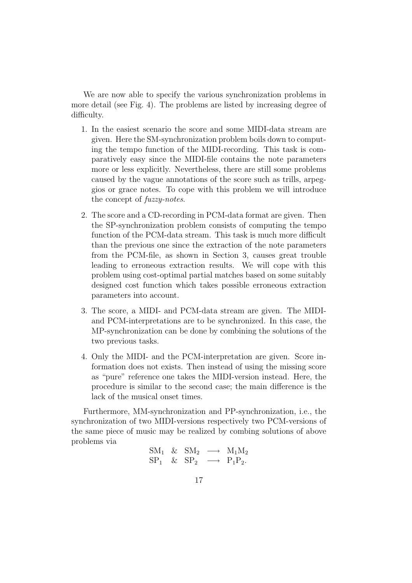We are now able to specify the various synchronization problems in more detail (see Fig. 4). The problems are listed by increasing degree of difficulty.

- 1. In the easiest scenario the score and some MIDI-data stream are given. Here the SM-synchronization problem boils down to computing the tempo function of the MIDI-recording. This task is comparatively easy since the MIDI-file contains the note parameters more or less explicitly. Nevertheless, there are still some problems caused by the vague annotations of the score such as trills, arpeggios or grace notes. To cope with this problem we will introduce the concept of fuzzy-notes.
- 2. The score and a CD-recording in PCM-data format are given. Then the SP-synchronization problem consists of computing the tempo function of the PCM-data stream. This task is much more difficult than the previous one since the extraction of the note parameters from the PCM-file, as shown in Section 3, causes great trouble leading to erroneous extraction results. We will cope with this problem using cost-optimal partial matches based on some suitably designed cost function which takes possible erroneous extraction parameters into account.
- 3. The score, a MIDI- and PCM-data stream are given. The MIDIand PCM-interpretations are to be synchronized. In this case, the MP-synchronization can be done by combining the solutions of the two previous tasks.
- 4. Only the MIDI- and the PCM-interpretation are given. Score information does not exists. Then instead of using the missing score as "pure" reference one takes the MIDI-version instead. Here, the procedure is similar to the second case; the main difference is the lack of the musical onset times.

Furthermore, MM-synchronization and PP-synchronization, i.e., the synchronization of two MIDI-versions respectively two PCM-versions of the same piece of music may be realized by combing solutions of above problems via

$$
\begin{array}{ccc}\nSM_1 & \& \quad SM_2 & \longrightarrow & M_1M_2 \\
SP_1 & \& \quad SP_2 & \longrightarrow & P_1P_2.\n\end{array}
$$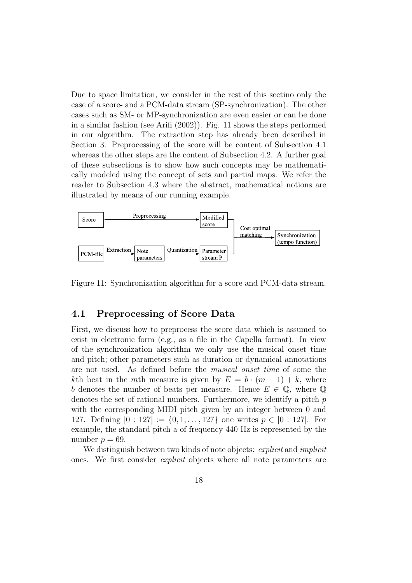Due to space limitation, we consider in the rest of this sectino only the case of a score- and a PCM-data stream (SP-synchronization). The other cases such as SM- or MP-synchronization are even easier or can be done in a similar fashion (see Arifi (2002)). Fig. 11 shows the steps performed in our algorithm. The extraction step has already been described in Section 3. Preprocessing of the score will be content of Subsection 4.1 whereas the other steps are the content of Subsection 4.2. A further goal of these subsections is to show how such concepts may be mathematically modeled using the concept of sets and partial maps. We refer the reader to Subsection 4.3 where the abstract, mathematical notions are illustrated by means of our running example.



Figure 11: Synchronization algorithm for a score and PCM-data stream.

#### 4.1 Preprocessing of Score Data

First, we discuss how to preprocess the score data which is assumed to exist in electronic form (e.g., as a file in the Capella format). In view of the synchronization algorithm we only use the musical onset time and pitch; other parameters such as duration or dynamical annotations are not used. As defined before the musical onset time of some the kth beat in the mth measure is given by  $E = b \cdot (m-1) + k$ , where b denotes the number of beats per measure. Hence  $E \in \mathbb{Q}$ , where  $\mathbb{Q}$ denotes the set of rational numbers. Furthermore, we identify a pitch p with the corresponding MIDI pitch given by an integer between 0 and 127. Defining  $[0:127] := \{0, 1, \ldots, 127\}$  one writes  $p \in [0:127]$ . For example, the standard pitch a of frequency 440 Hz is represented by the number  $p = 69$ .

We distinguish between two kinds of note objects: explicit and *implicit* ones. We first consider explicit objects where all note parameters are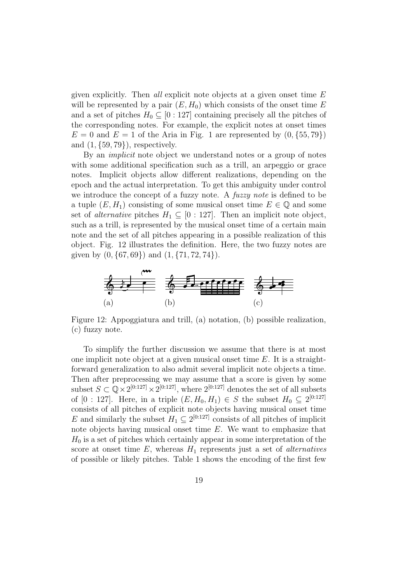given explicitly. Then all explicit note objects at a given onset time  $E$ will be represented by a pair  $(E, H_0)$  which consists of the onset time E and a set of pitches  $H_0 \subseteq [0:127]$  containing precisely all the pitches of the corresponding notes. For example, the explicit notes at onset times  $E = 0$  and  $E = 1$  of the Aria in Fig. 1 are represented by  $(0, {55, 79})$ and  $(1, \{59, 79\})$ , respectively.

By an implicit note object we understand notes or a group of notes with some additional specification such as a trill, an arpeggio or grace notes. Implicit objects allow different realizations, depending on the epoch and the actual interpretation. To get this ambiguity under control we introduce the concept of a fuzzy note. A fuzzy note is defined to be a tuple  $(E, H_1)$  consisting of some musical onset time  $E \in \mathbb{Q}$  and some set of *alternative* pitches  $H_1 \subseteq [0:127]$ . Then an implicit note object, such as a trill, is represented by the musical onset time of a certain main note and the set of all pitches appearing in a possible realization of this object. Fig. 12 illustrates the definition. Here, the two fuzzy notes are given by  $(0, \{67, 69\})$  and  $(1, \{71, 72, 74\})$ .



Figure 12: Appoggiatura and trill, (a) notation, (b) possible realization, (c) fuzzy note.

To simplify the further discussion we assume that there is at most one implicit note object at a given musical onset time  $E$ . It is a straightforward generalization to also admit several implicit note objects a time. Then after preprocessing we may assume that a score is given by some subset  $S \subset \mathbb{Q} \times 2^{[0:127]} \times 2^{[0:127]}$ , where  $2^{[0:127]}$  denotes the set of all subsets of [0 : 127]. Here, in a triple  $(E, H_0, H_1) \in S$  the subset  $H_0 \subseteq 2^{[0:127]}$ consists of all pitches of explicit note objects having musical onset time E and similarly the subset  $H_1 \subseteq 2^{[0:127]}$  consists of all pitches of implicit note objects having musical onset time E. We want to emphasize that  $H_0$  is a set of pitches which certainly appear in some interpretation of the score at onset time  $E$ , whereas  $H_1$  represents just a set of *alternatives* of possible or likely pitches. Table 1 shows the encoding of the first few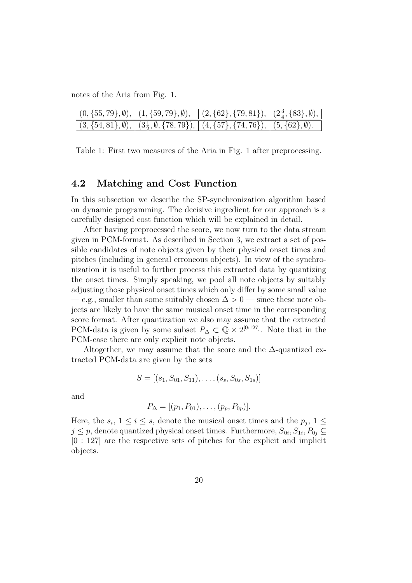notes of the Aria from Fig. 1.

|  | $\left[ (0, \{55, 79\}, \emptyset), (1, \{59, 79\}, \emptyset), (2, \{62\}, \{79, 81\}), (2\frac{3}{4}, \{83\}, \emptyset), \right]$                                |  |
|--|---------------------------------------------------------------------------------------------------------------------------------------------------------------------|--|
|  | $\lceil (3, \{54, 81\}, \emptyset), \lfloor (3\frac{1}{2}, \emptyset, \{78, 79\}), \lfloor (4, \{57\}, \{74, 76\}), \lfloor (5, \{62\}, \emptyset). \rfloor \rceil$ |  |

Table 1: First two measures of the Aria in Fig. 1 after preprocessing.

#### 4.2 Matching and Cost Function

In this subsection we describe the SP-synchronization algorithm based on dynamic programming. The decisive ingredient for our approach is a carefully designed cost function which will be explained in detail.

After having preprocessed the score, we now turn to the data stream given in PCM-format. As described in Section 3, we extract a set of possible candidates of note objects given by their physical onset times and pitches (including in general erroneous objects). In view of the synchronization it is useful to further process this extracted data by quantizing the onset times. Simply speaking, we pool all note objects by suitably adjusting those physical onset times which only differ by some small value — e.g., smaller than some suitably chosen  $\Delta > 0$  — since these note objects are likely to have the same musical onset time in the corresponding score format. After quantization we also may assume that the extracted PCM-data is given by some subset  $P_{\Delta} \subset \mathbb{Q} \times 2^{[0.127]}$ . Note that in the PCM-case there are only explicit note objects.

Altogether, we may assume that the score and the  $\Delta$ -quantized extracted PCM-data are given by the sets

$$
S = [(s_1, S_{01}, S_{11}), \ldots, (s_s, S_{0s}, S_{1s})]
$$

and

$$
P_{\Delta} = [(p_1, P_{01}), \ldots, (p_p, P_{0p})].
$$

Here, the  $s_i, 1 \leq i \leq s$ , denote the musical onset times and the  $p_j, 1 \leq s$  $j \leq p$ , denote quantized physical onset times. Furthermore,  $S_{0i}$ ,  $S_{1i}$ ,  $P_{0j} \subseteq$ [0 : 127] are the respective sets of pitches for the explicit and implicit objects.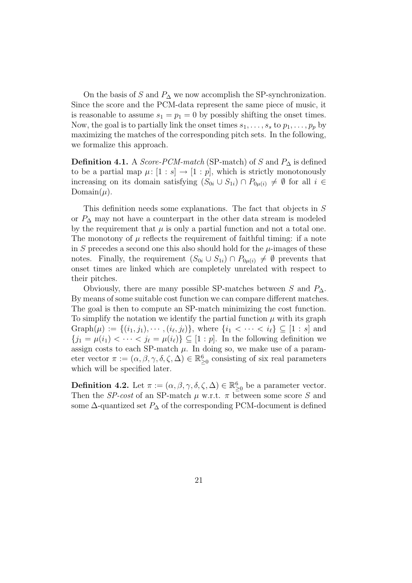On the basis of S and  $P_{\Delta}$  we now accomplish the SP-synchronization. Since the score and the PCM-data represent the same piece of music, it is reasonable to assume  $s_1 = p_1 = 0$  by possibly shifting the onset times. Now, the goal is to partially link the onset times  $s_1, \ldots, s_s$  to  $p_1, \ldots, p_p$  by maximizing the matches of the corresponding pitch sets. In the following, we formalize this approach.

**Definition 4.1.** A *Score-PCM-match* (SP-match) of S and  $P_{\Delta}$  is defined to be a partial map  $\mu: [1:s] \to [1:p]$ , which is strictly monotonously increasing on its domain satisfying  $(S_{0i} \cup S_{1i}) \cap P_{0\mu(i)} \neq \emptyset$  for all  $i \in$ Domain $(\mu)$ .

This definition needs some explanations. The fact that objects in S or  $P_{\Delta}$  may not have a counterpart in the other data stream is modeled by the requirement that  $\mu$  is only a partial function and not a total one. The monotony of  $\mu$  reflects the requirement of faithful timing: if a note in S precedes a second one this also should hold for the  $\mu$ -images of these notes. Finally, the requirement  $(S_{0i} \cup S_{1i}) \cap P_{0\mu(i)} \neq \emptyset$  prevents that onset times are linked which are completely unrelated with respect to their pitches.

Obviously, there are many possible SP-matches between S and  $P_{\Delta}$ . By means of some suitable cost function we can compare different matches. The goal is then to compute an SP-match minimizing the cost function. To simplify the notation we identify the partial function  $\mu$  with its graph  $\text{Graph}(\mu) := \{(i_1, j_1), \cdots, (i_{\ell}, j_{\ell})\}, \text{ where } \{i_1 < \cdots < i_{\ell}\} \subseteq [1 : s] \text{ and }$  ${j_1 = \mu(i_1) < \cdots < j_\ell = \mu(i_\ell)} \subseteq [1:p]$ . In the following definition we assign costs to each SP-match  $\mu$ . In doing so, we make use of a parameter vector  $\pi := (\alpha, \beta, \gamma, \delta, \zeta, \Delta) \in \mathbb{R}^6_{\geq 0}$  consisting of six real parameters which will be specified later.

**Definition 4.2.** Let  $\pi := (\alpha, \beta, \gamma, \delta, \zeta, \Delta) \in \mathbb{R}_{\geq 0}^6$  be a parameter vector. Then the SP-cost of an SP-match  $\mu$  w.r.t.  $\pi$  between some score S and some  $\Delta$ -quantized set  $P_{\Delta}$  of the corresponding PCM-document is defined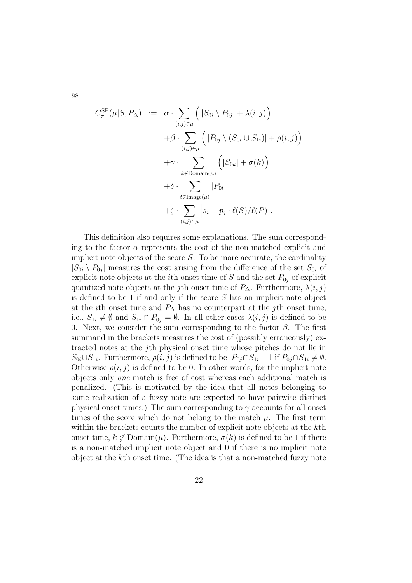as

$$
C_{\pi}^{\text{SP}}(\mu|S, P_{\Delta}) := \alpha \cdot \sum_{(i,j) \in \mu} \Big( |S_{0i} \setminus P_{0j}| + \lambda(i,j) \Big) + \beta \cdot \sum_{(i,j) \in \mu} \Big( |P_{0j} \setminus (S_{0i} \cup S_{1i})| + \rho(i,j) \Big) + \gamma \cdot \sum_{k \notin \text{Domain}(\mu)} \Big( |S_{0k}| + \sigma(k) \Big) + \delta \cdot \sum_{t \notin \text{Image}(\mu)} |P_{0t}| + \zeta \cdot \sum_{(i,j) \in \mu} |s_i - p_j \cdot \ell(S) / \ell(P) |.
$$

This definition also requires some explanations. The sum corresponding to the factor  $\alpha$  represents the cost of the non-matched explicit and implicit note objects of the score  $S$ . To be more accurate, the cardinality  $|S_{0i} \setminus P_{0j}|$  measures the cost arising from the difference of the set  $S_{0i}$  of explicit note objects at the *i*th onset time of S and the set  $P_{0j}$  of explicit quantized note objects at the j<sup>th</sup> onset time of  $P_{\Delta}$ . Furthermore,  $\lambda(i, j)$ is defined to be 1 if and only if the score  $S$  has an implicit note object at the *i*th onset time and  $P_{\Delta}$  has no counterpart at the *j*th onset time, i.e.,  $S_{1i} \neq \emptyset$  and  $S_{1i} \cap P_{0j} = \emptyset$ . In all other cases  $\lambda(i, j)$  is defined to be 0. Next, we consider the sum corresponding to the factor  $\beta$ . The first summand in the brackets measures the cost of (possibly erroneously) extracted notes at the jth physical onset time whose pitches do not lie in  $S_{0i} \cup S_{1i}$ . Furthermore,  $\rho(i, j)$  is defined to be  $|P_{0j} \cap S_{1i}| - 1$  if  $P_{0j} \cap S_{1i} \neq \emptyset$ . Otherwise  $\rho(i, j)$  is defined to be 0. In other words, for the implicit note objects only one match is free of cost whereas each additional match is penalized. (This is motivated by the idea that all notes belonging to some realization of a fuzzy note are expected to have pairwise distinct physical onset times.) The sum corresponding to  $\gamma$  accounts for all onset times of the score which do not belong to the match  $\mu$ . The first term within the brackets counts the number of explicit note objects at the kth onset time,  $k \notin \text{Domain}(\mu)$ . Furthermore,  $\sigma(k)$  is defined to be 1 if there is a non-matched implicit note object and 0 if there is no implicit note object at the kth onset time. (The idea is that a non-matched fuzzy note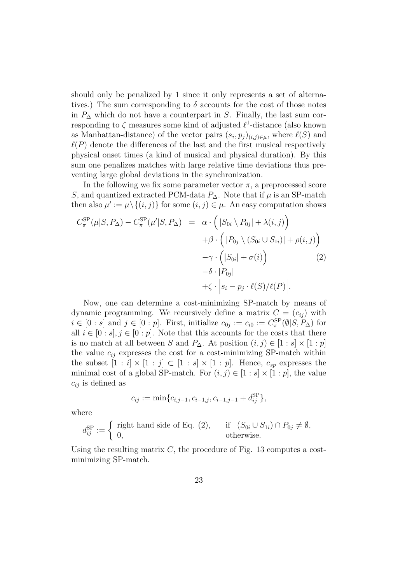should only be penalized by 1 since it only represents a set of alternatives.) The sum corresponding to  $\delta$  accounts for the cost of those notes in  $P_{\Delta}$  which do not have a counterpart in S. Finally, the last sum corresponding to  $\zeta$  measures some kind of adjusted  $\ell^1$ -distance (also known as Manhattan-distance) of the vector pairs  $(s_i, p_j)_{(i,j)\in\mu}$ , where  $\ell(S)$  and  $\ell(P)$  denote the differences of the last and the first musical respectively physical onset times (a kind of musical and physical duration). By this sum one penalizes matches with large relative time deviations thus preventing large global deviations in the synchronization.

In the following we fix some parameter vector  $\pi$ , a preprocessed score S, and quantized extracted PCM-data  $P_{\Delta}$ . Note that if  $\mu$  is an SP-match then also  $\mu' := \mu \setminus \{(i, j)\}\$ for some  $(i, j) \in \mu$ . An easy computation shows

$$
C_{\pi}^{\rm SP}(\mu|S, P_{\Delta}) - C_{\pi}^{\rm SP}(\mu'|S, P_{\Delta}) = \alpha \cdot (|S_{0i} \setminus P_{0j}| + \lambda(i, j))
$$

$$
+ \beta \cdot (|P_{0j} \setminus (S_{0i} \cup S_{1i})| + \rho(i, j))
$$

$$
- \gamma \cdot (|S_{0i}| + \sigma(i))
$$

$$
- \delta \cdot |P_{0j}|
$$

$$
+ \zeta \cdot |s_i - p_j \cdot \ell(S)/\ell(P)|.
$$
 (2)

Now, one can determine a cost-minimizing SP-match by means of dynamic programming. We recursively define a matrix  $C = (c_{ii})$  with  $i \in [0:s]$  and  $j \in [0:p]$ . First, initialize  $c_{0j} := c_{i0} := C_{\pi}^{\text{SP}}(\emptyset | S, P_{\Delta})$  for all  $i \in [0 : s], j \in [0 : p]$ . Note that this accounts for the costs that there is no match at all between S and  $P_{\Delta}$ . At position  $(i, j) \in [1 : s] \times [1 : p]$ the value  $c_{ij}$  expresses the cost for a cost-minimizing SP-match within the subset  $[1 : i] \times [1 : j] \subset [1 : s] \times [1 : p]$ . Hence,  $c_{sp}$  expresses the minimal cost of a global SP-match. For  $(i, j) \in [1 : s] \times [1 : p]$ , the value  $c_{ij}$  is defined as

$$
c_{ij} := \min\{c_{i,j-1}, c_{i-1,j}, c_{i-1,j-1} + d_{ij}^{\text{SP}}\},\
$$

where

$$
d_{ij}^{\rm SP} := \begin{cases} \text{right hand side of Eq. (2)}, & \text{if } (S_{0i} \cup S_{1i}) \cap P_{0j} \neq \emptyset, \\ 0, & \text{otherwise.} \end{cases}
$$

Using the resulting matrix  $C$ , the procedure of Fig. 13 computes a costminimizing SP-match.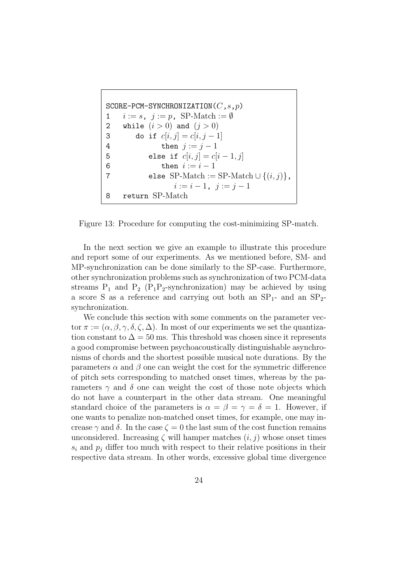```
SCORE-PCM-SYNCHRONIZATION(C,s,p)1 i := s, j := p, SP-Match := Ø
2 while (i > 0) and (j > 0)3 do if c[i, j] = c[i, j-1]4 then j := j - 15 else if c[i, j] = c[i - 1, j]6 then i := i - 17 else SP-Match := SP-Match ∪ \{(i,j)\}\,,
               i := i - 1, \ \ i := j - 18 return SP-Match
```
Figure 13: Procedure for computing the cost-minimizing SP-match.

In the next section we give an example to illustrate this procedure and report some of our experiments. As we mentioned before, SM- and MP-synchronization can be done similarly to the SP-case. Furthermore, other synchronization problems such as synchronization of two PCM-data streams  $P_1$  and  $P_2$  ( $P_1P_2$ -synchronization) may be achieved by using a score S as a reference and carrying out both an  $SP_1$ - and an  $SP_2$ synchronization.

We conclude this section with some comments on the parameter vector  $\pi := (\alpha, \beta, \gamma, \delta, \zeta, \Delta)$ . In most of our experiments we set the quantization constant to  $\Delta = 50$  ms. This threshold was chosen since it represents a good compromise between psychoacoustically distinguishable asynchronisms of chords and the shortest possible musical note durations. By the parameters  $\alpha$  and  $\beta$  one can weight the cost for the symmetric difference of pitch sets corresponding to matched onset times, whereas by the parameters  $\gamma$  and  $\delta$  one can weight the cost of those note objects which do not have a counterpart in the other data stream. One meaningful standard choice of the parameters is  $\alpha = \beta = \gamma = \delta = 1$ . However, if one wants to penalize non-matched onset times, for example, one may increase  $\gamma$  and  $\delta$ . In the case  $\zeta = 0$  the last sum of the cost function remains unconsidered. Increasing  $\zeta$  will hamper matches  $(i, j)$  whose onset times  $s_i$  and  $p_j$  differ too much with respect to their relative positions in their respective data stream. In other words, excessive global time divergence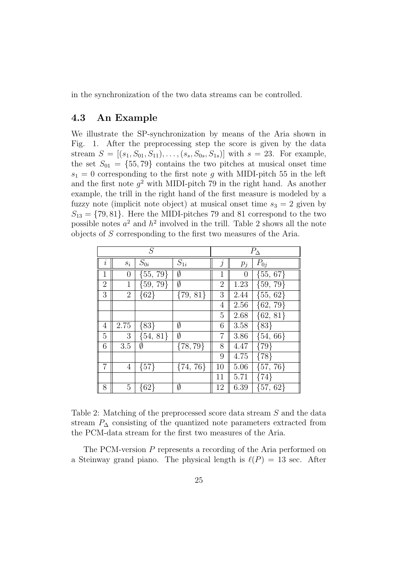in the synchronization of the two data streams can be controlled.

#### 4.3 An Example

We illustrate the SP-synchronization by means of the Aria shown in Fig. 1. After the preprocessing step the score is given by the data stream  $S = [(s_1, S_{01}, S_{11}), \ldots, (s_s, S_{0s}, S_{1s})]$  with  $s = 23$ . For example, the set  $S_{01} = \{55, 79\}$  contains the two pitches at musical onset time  $s_1 = 0$  corresponding to the first note g with MIDI-pitch 55 in the left and the first note  $g^2$  with MIDI-pitch 79 in the right hand. As another example, the trill in the right hand of the first measure is modeled by a fuzzy note (implicit note object) at musical onset time  $s_3 = 2$  given by  $S_{13} = \{79, 81\}$ . Here the MIDI-pitches 79 and 81 correspond to the two possible notes  $a^2$  and  $h^2$  involved in the trill. Table 2 shows all the note objects of S corresponding to the first two measures of the Aria.

|                |                | S          | $P_{\Delta}$ |                |       |              |
|----------------|----------------|------------|--------------|----------------|-------|--------------|
| i              | $s_i$          | $S_{0i}$   | $S_{1i}$     | $\dot{j}$      | $p_j$ | $P_{0j}$     |
| $\mathbf{1}$   | $\overline{0}$ | ${55, 79}$ | Ø            | 1              | 0     | $\{55, 67\}$ |
| $\overline{2}$ | $\mathbf{1}$   | ${59, 79}$ | Ø            | $\overline{2}$ | 1.23  | ${59, 79}$   |
| 3              | $\overline{2}$ | ${62}$     | $\{79, 81\}$ | 3              | 2.44  | ${55, 62}$   |
|                |                |            |              | 4              | 2.56  | ${62, 79}$   |
|                |                |            |              | 5              | 2.68  | ${62, 81}$   |
| 4              | 2.75           | ${83}$     | Ø            | 6              | 3.58  | ${83}$       |
| $\overline{5}$ | 3              | ${54, 81}$ | Ø            | $\overline{7}$ | 3.86  | ${54, 66}$   |
| 6              | 3.5            | Ø          | $\{78, 79\}$ | 8              | 4.47  | $\{79\}$     |
|                |                |            |              | 9              | 4.75  | ${78}$       |
| $\overline{7}$ | 4              | ${57}$     | $\{74, 76\}$ | 10             | 5.06  | ${57, 76}$   |
|                |                |            |              | 11             | 5.71  | ${74}$       |
| 8              | 5              | $\{62\}$   | Ø            | 12             | 6.39  | ${57, 62}$   |

Table 2: Matching of the preprocessed score data stream S and the data stream  $P_{\Delta}$  consisting of the quantized note parameters extracted from the PCM-data stream for the first two measures of the Aria.

The PCM-version P represents a recording of the Aria performed on a Steinway grand piano. The physical length is  $\ell(P) = 13$  sec. After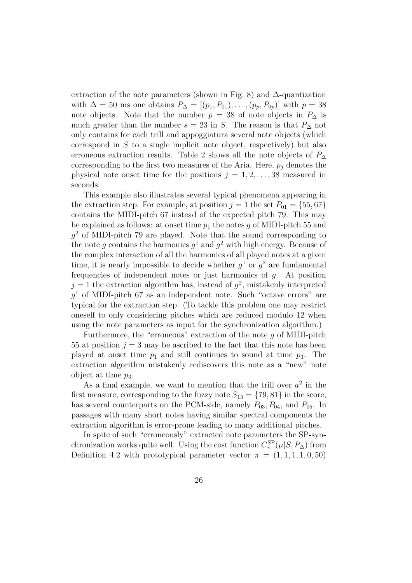extraction of the note parameters (shown in Fig. 8) and  $\Delta$ -quantization with  $\Delta = 50$  ms one obtains  $P_{\Delta} = [(p_1, P_{01}), \ldots, (p_p, P_{0p})]$  with  $p = 38$ note objects. Note that the number  $p = 38$  of note objects in  $P_{\Delta}$  is much greater than the number  $s = 23$  in S. The reason is that  $P_{\Delta}$  not only contains for each trill and appoggiatura several note objects (which correspond in  $S$  to a single implicit note object, respectively) but also erroneous extraction results. Table 2 shows all the note objects of  $P_{\Delta}$ corresponding to the first two measures of the Aria. Here,  $p_j$  denotes the physical note onset time for the positions  $j = 1, 2, \ldots, 38$  measured in seconds.

This example also illustrates several typical phenomena appearing in the extraction step. For example, at position  $j = 1$  the set  $P_{01} = \{55,67\}$ contains the MIDI-pitch 67 instead of the expected pitch 79. This may be explained as follows: at onset time  $p_1$  the notes g of MIDI-pitch 55 and  $g<sup>2</sup>$  of MIDI-pitch 79 are played. Note that the sound corresponding to the note g contains the harmonics  $g^1$  and  $g^2$  with high energy. Because of the complex interaction of all the harmonics of all played notes at a given time, it is nearly impossible to decide whether  $g^1$  or  $g^2$  are fundamental frequencies of independent notes or just harmonics of g. At position  $j = 1$  the extraction algorithm has, instead of  $g^2$ , mistakenly interpreted  $g<sup>1</sup>$  of MIDI-pitch 67 as an independent note. Such "octave errors" are typical for the extraction step. (To tackle this problem one may restrict oneself to only considering pitches which are reduced modulo 12 when using the note parameters as input for the synchronization algorithm.)

Furthermore, the "erroneous" extraction of the note  $q$  of MIDI-pitch 55 at position  $j = 3$  may be ascribed to the fact that this note has been played at onset time  $p_1$  and still continues to sound at time  $p_3$ . The extraction algorithm mistakenly rediscovers this note as a "new" note object at time  $p_3$ .

As a final example, we want to mention that the trill over  $a^2$  in the first measure, corresponding to the fuzzy note  $S_{13} = \{79, 81\}$  in the score, has several counterparts on the PCM-side, namely  $P_{03}$ ,  $P_{04}$ , and  $P_{05}$ . In passages with many short notes having similar spectral components the extraction algorithm is error-prone leading to many additional pitches.

In spite of such "erroneously" extracted note parameters the SP-synchronization works quite well. Using the cost function  $C_{\pi}^{\text{SP}}(\mu|S, P_{\Delta})$  from Definition 4.2 with prototypical parameter vector  $\pi = (1, 1, 1, 1, 0, 50)$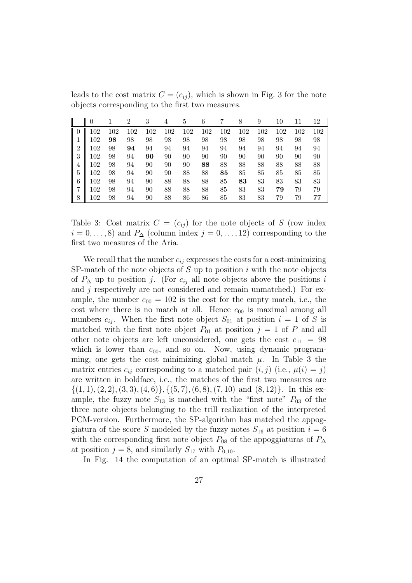|   |     |     |     |     |     |     |     |     |     |     | 10  |     | 12  |
|---|-----|-----|-----|-----|-----|-----|-----|-----|-----|-----|-----|-----|-----|
|   | 102 | 102 | 102 | 102 | 102 | 102 | 102 | 102 | 102 | 102 | 102 | 102 | 102 |
|   | 102 | 98  | 98  | 98  | 98  | 98  | 98  | 98  | 98  | 98  | 98  | 98  | 98  |
| 2 | 102 | 98  | 94  | 94  | 94  | 94  | 94  | 94  | 94  | 94  | 94  | 94  | 94  |
| 3 | 102 | 98  | 94  | 90  | 90  | 90  | 90  | 90  | 90  | 90  | 90  | 90  | 90  |
| 4 | 102 | 98  | 94  | 90  | 90  | 90  | 88  | 88  | 88  | 88  | 88  | 88  | 88  |
| 5 | 102 | 98  | 94  | 90  | 90  | 88  | 88  | 85  | 85  | 85  | 85  | 85  | 85  |
| 6 | 102 | 98  | 94  | 90  | 88  | 88  | 88  | 85  | 83  | 83  | 83  | 83  | 83  |
|   | 102 | 98  | 94  | 90  | 88  | 88  | 88  | 85  | 83  | 83  | 79  | 79  | 79  |
| 8 | 102 | 98  | 94  | 90  | 88  | 86  | 86  | 85  | 83  | 83  | 79  | 79  | 77  |

leads to the cost matrix  $C = (c_{ij})$ , which is shown in Fig. 3 for the note objects corresponding to the first two measures.

Table 3: Cost matrix  $C = (c_{ij})$  for the note objects of S (row index  $i = 0, \ldots, 8$  and  $P_{\Delta}$  (column index  $j = 0, \ldots, 12$ ) corresponding to the first two measures of the Aria.

We recall that the number  $c_{ij}$  expresses the costs for a cost-minimizing SP-match of the note objects of  $S$  up to position  $i$  with the note objects of  $P_{\Delta}$  up to position j. (For  $c_{ij}$  all note objects above the positions i and j respectively are not considered and remain unmatched.) For example, the number  $c_{00} = 102$  is the cost for the empty match, i.e., the cost where there is no match at all. Hence  $c_{00}$  is maximal among all numbers  $c_{ij}$ . When the first note object  $S_{01}$  at position  $i = 1$  of S is matched with the first note object  $P_{01}$  at position  $j = 1$  of P and all other note objects are left unconsidered, one gets the cost  $c_{11} = 98$ which is lower than  $c_{00}$ , and so on. Now, using dynamic programming, one gets the cost minimizing global match  $\mu$ . In Table 3 the matrix entries  $c_{ij}$  corresponding to a matched pair  $(i, j)$  (i.e.,  $\mu(i) = j$ ) are written in boldface, i.e., the matches of the first two measures are  $\{(1, 1), (2, 2), (3, 3), (4, 6)\}, \{(5, 7), (6, 8), (7, 10) \text{ and } (8, 12)\}.$  In this example, the fuzzy note  $S_{13}$  is matched with the "first note"  $P_{03}$  of the three note objects belonging to the trill realization of the interpreted PCM-version. Furthermore, the SP-algorithm has matched the appoggiatura of the score S modeled by the fuzzy notes  $S_{16}$  at position  $i = 6$ with the corresponding first note object  $P_{08}$  of the appoggiaturas of  $P_{\Delta}$ at position  $j = 8$ , and similarly  $S_{17}$  with  $P_{0,10}$ .

In Fig. 14 the computation of an optimal SP-match is illustrated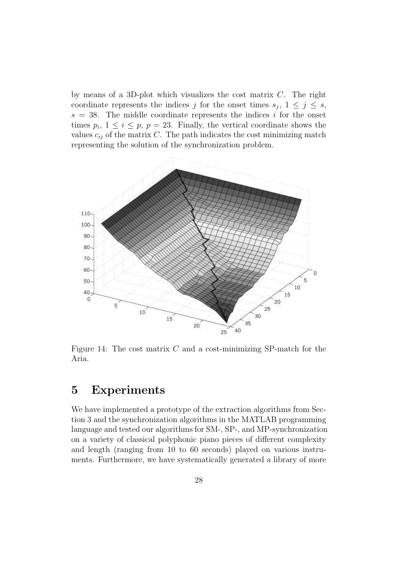by means of a 3D-plot which visualizes the cost matrix C. The right coordinate represents the indices j for the onset times  $s_j$ ,  $1 \leq j \leq s$ ,  $s = 38$ . The middle coordinate represents the indices i for the onset times  $p_i$ ,  $1 \leq i \leq p$ ,  $p = 23$ . Finally, the vertical coordinate shows the values  $c_{ij}$  of the matrix C. The path indicates the cost minimizing match representing the solution of the synchronization problem.



Figure 14: The cost matrix  $C$  and a cost-minimizing SP-match for the Aria.

## 5 Experiments

We have implemented a prototype of the extraction algorithms from Section 3 and the synchronization algorithms in the MATLAB programming language and tested our algorithms for SM-, SP-, and MP-synchronization on a variety of classical polyphonic piano pieces of different complexity and length (ranging from 10 to 60 seconds) played on various instruments. Furthermore, we have systematically generated a library of more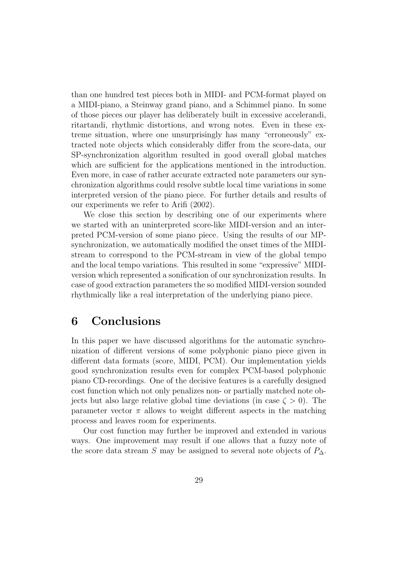than one hundred test pieces both in MIDI- and PCM-format played on a MIDI-piano, a Steinway grand piano, and a Schimmel piano. In some of those pieces our player has deliberately built in excessive accelerandi, ritartandi, rhythmic distortions, and wrong notes. Even in these extreme situation, where one unsurprisingly has many "erroneously" extracted note objects which considerably differ from the score-data, our SP-synchronization algorithm resulted in good overall global matches which are sufficient for the applications mentioned in the introduction. Even more, in case of rather accurate extracted note parameters our synchronization algorithms could resolve subtle local time variations in some interpreted version of the piano piece. For further details and results of our experiments we refer to Arifi (2002).

We close this section by describing one of our experiments where we started with an uninterpreted score-like MIDI-version and an interpreted PCM-version of some piano piece. Using the results of our MPsynchronization, we automatically modified the onset times of the MIDIstream to correspond to the PCM-stream in view of the global tempo and the local tempo variations. This resulted in some "expressive" MIDIversion which represented a sonification of our synchronization results. In case of good extraction parameters the so modified MIDI-version sounded rhythmically like a real interpretation of the underlying piano piece.

## 6 Conclusions

In this paper we have discussed algorithms for the automatic synchronization of different versions of some polyphonic piano piece given in different data formats (score, MIDI, PCM). Our implementation yields good synchronization results even for complex PCM-based polyphonic piano CD-recordings. One of the decisive features is a carefully designed cost function which not only penalizes non- or partially matched note objects but also large relative global time deviations (in case  $\zeta > 0$ ). The parameter vector  $\pi$  allows to weight different aspects in the matching process and leaves room for experiments.

Our cost function may further be improved and extended in various ways. One improvement may result if one allows that a fuzzy note of the score data stream S may be assigned to several note objects of  $P_{\Delta}$ .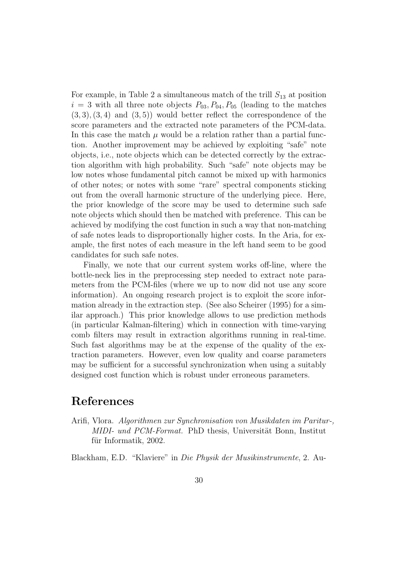For example, in Table 2 a simultaneous match of the trill  $S_{13}$  at position  $i = 3$  with all three note objects  $P_{03}$ ,  $P_{04}$ ,  $P_{05}$  (leading to the matches  $(3, 3), (3, 4)$  and  $(3, 5)$ ) would better reflect the correspondence of the score parameters and the extracted note parameters of the PCM-data. In this case the match  $\mu$  would be a relation rather than a partial function. Another improvement may be achieved by exploiting "safe" note objects, i.e., note objects which can be detected correctly by the extraction algorithm with high probability. Such "safe" note objects may be low notes whose fundamental pitch cannot be mixed up with harmonics of other notes; or notes with some "rare" spectral components sticking out from the overall harmonic structure of the underlying piece. Here, the prior knowledge of the score may be used to determine such safe note objects which should then be matched with preference. This can be achieved by modifying the cost function in such a way that non-matching of safe notes leads to disproportionally higher costs. In the Aria, for example, the first notes of each measure in the left hand seem to be good candidates for such safe notes.

Finally, we note that our current system works off-line, where the bottle-neck lies in the preprocessing step needed to extract note parameters from the PCM-files (where we up to now did not use any score information). An ongoing research project is to exploit the score information already in the extraction step. (See also Scheirer (1995) for a similar approach.) This prior knowledge allows to use prediction methods (in particular Kalman-filtering) which in connection with time-varying comb filters may result in extraction algorithms running in real-time. Such fast algorithms may be at the expense of the quality of the extraction parameters. However, even low quality and coarse parameters may be sufficient for a successful synchronization when using a suitably designed cost function which is robust under erroneous parameters.

# References

Arifi, Vlora. Algorithmen zur Synchronisation von Musikdaten im Paritur-, MIDI- und PCM-Format. PhD thesis, Universität Bonn, Institut für Informatik, 2002.

Blackham, E.D. "Klaviere" in Die Physik der Musikinstrumente, 2. Au-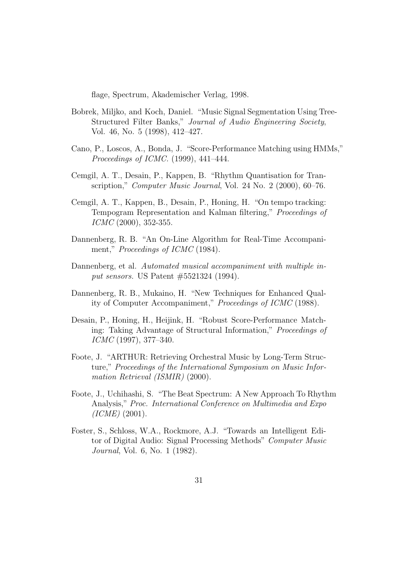flage, Spectrum, Akademischer Verlag, 1998.

- Bobrek, Miljko, and Koch, Daniel. "Music Signal Segmentation Using Tree-Structured Filter Banks," Journal of Audio Engineering Society, Vol. 46, No. 5 (1998), 412–427.
- Cano, P., Loscos, A., Bonda, J. "Score-Performance Matching using HMMs," Proceedings of ICMC. (1999), 441–444.
- Cemgil, A. T., Desain, P., Kappen, B. "Rhythm Quantisation for Transcription," Computer Music Journal, Vol. 24 No. 2 (2000), 60–76.
- Cemgil, A. T., Kappen, B., Desain, P., Honing, H. "On tempo tracking: Tempogram Representation and Kalman filtering," Proceedings of  $ICMC (2000), 352-355.$
- Dannenberg, R. B. "An On-Line Algorithm for Real-Time Accompaniment," Proceedings of ICMC (1984).
- Dannenberg, et al. Automated musical accompaniment with multiple input sensors. US Patent #5521324 (1994).
- Dannenberg, R. B., Mukaino, H. "New Techniques for Enhanced Quality of Computer Accompaniment," Proceedings of ICMC (1988).
- Desain, P., Honing, H., Heijink, H. "Robust Score-Performance Matching: Taking Advantage of Structural Information," Proceedings of ICMC (1997), 377–340.
- Foote, J. "ARTHUR: Retrieving Orchestral Music by Long-Term Structure," Proceedings of the International Symposium on Music Information Retrieval (ISMIR) (2000).
- Foote, J., Uchihashi, S. "The Beat Spectrum: A New Approach To Rhythm Analysis," Proc. International Conference on Multimedia and Expo (ICME) (2001).
- Foster, S., Schloss, W.A., Rockmore, A.J. "Towards an Intelligent Editor of Digital Audio: Signal Processing Methods" Computer Music Journal, Vol. 6, No. 1 (1982).